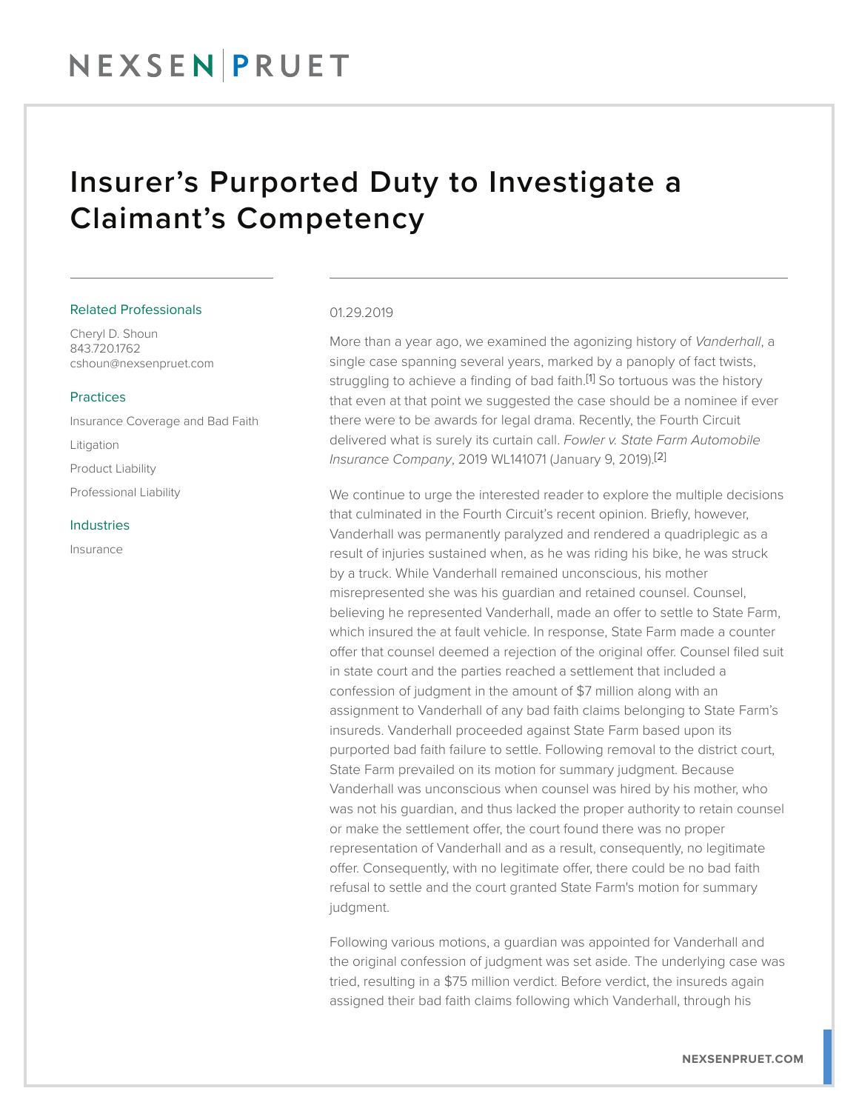### NEXSENPRUET

### Insurer's Purported Duty to Investigate a Claimant's Competency

#### Related Professionals

Cheryl D. Shoun 843.720.1762 cshoun@nexsenpruet.com

#### Practices

Insurance Coverage and Bad Faith Litigation Product Liability Professional Liability

#### Industries

Insurance

#### 01.29.2019

More than a year ago, we examined the agonizing history of *Vanderhall*, a single case spanning several years, marked by a panoply of fact twists, struggling to achieve a finding of bad faith.<sup>[1]</sup> So tortuous was the history that even at that point we suggested the case should be a nominee if ever there were to be awards for legal drama. Recently, the Fourth Circuit delivered what is surely its curtain call. *Fowler v. State Farm Automobile Insurance Company*, 2019 WL141071 (January 9, 2019).[2]

We continue to urge the interested reader to explore the multiple decisions that culminated in the Fourth Circuit's recent opinion. Briefly, however, Vanderhall was permanently paralyzed and rendered a quadriplegic as a result of injuries sustained when, as he was riding his bike, he was struck by a truck. While Vanderhall remained unconscious, his mother misrepresented she was his guardian and retained counsel. Counsel, believing he represented Vanderhall, made an offer to settle to State Farm, which insured the at fault vehicle. In response, State Farm made a counter offer that counsel deemed a rejection of the original offer. Counsel filed suit in state court and the parties reached a settlement that included a confession of judgment in the amount of \$7 million along with an assignment to Vanderhall of any bad faith claims belonging to State Farm's insureds. Vanderhall proceeded against State Farm based upon its purported bad faith failure to settle. Following removal to the district court, State Farm prevailed on its motion for summary judgment. Because Vanderhall was unconscious when counsel was hired by his mother, who was not his guardian, and thus lacked the proper authority to retain counsel or make the settlement offer, the court found there was no proper representation of Vanderhall and as a result, consequently, no legitimate offer. Consequently, with no legitimate offer, there could be no bad faith refusal to settle and the court granted State Farm's motion for summary judgment.

Following various motions, a guardian was appointed for Vanderhall and the original confession of judgment was set aside. The underlying case was tried, resulting in a \$75 million verdict. Before verdict, the insureds again assigned their bad faith claims following which Vanderhall, through his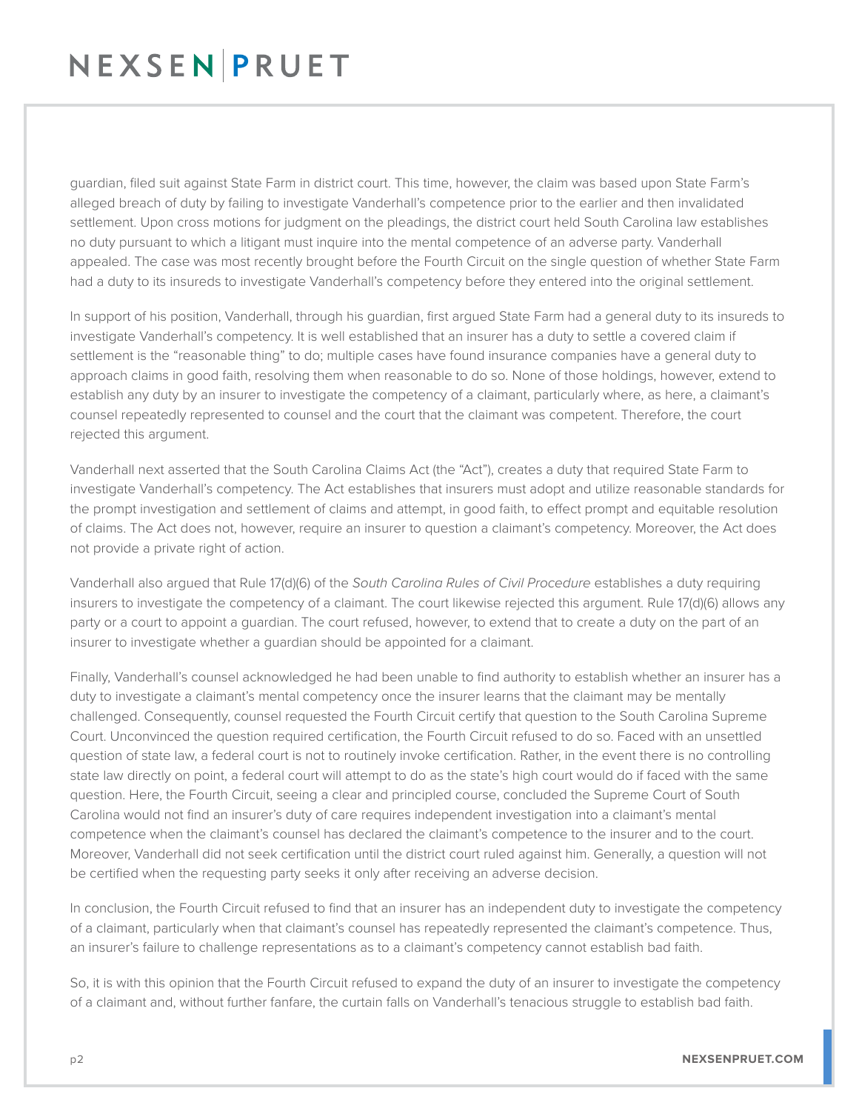# NEXSENPRUET

guardian, filed suit against State Farm in district court. This time, however, the claim was based upon State Farm's alleged breach of duty by failing to investigate Vanderhall's competence prior to the earlier and then invalidated settlement. Upon cross motions for judgment on the pleadings, the district court held South Carolina law establishes no duty pursuant to which a litigant must inquire into the mental competence of an adverse party. Vanderhall appealed. The case was most recently brought before the Fourth Circuit on the single question of whether State Farm had a duty to its insureds to investigate Vanderhall's competency before they entered into the original settlement.

In support of his position, Vanderhall, through his guardian, first argued State Farm had a general duty to its insureds to investigate Vanderhall's competency. It is well established that an insurer has a duty to settle a covered claim if settlement is the "reasonable thing" to do; multiple cases have found insurance companies have a general duty to approach claims in good faith, resolving them when reasonable to do so. None of those holdings, however, extend to establish any duty by an insurer to investigate the competency of a claimant, particularly where, as here, a claimant's counsel repeatedly represented to counsel and the court that the claimant was competent. Therefore, the court rejected this argument.

Vanderhall next asserted that the South Carolina Claims Act (the "Act"), creates a duty that required State Farm to investigate Vanderhall's competency. The Act establishes that insurers must adopt and utilize reasonable standards for the prompt investigation and settlement of claims and attempt, in good faith, to effect prompt and equitable resolution of claims. The Act does not, however, require an insurer to question a claimant's competency. Moreover, the Act does not provide a private right of action.

Vanderhall also argued that Rule 17(d)(6) of the *South Carolina Rules of Civil Procedure* establishes a duty requiring insurers to investigate the competency of a claimant. The court likewise rejected this argument. Rule 17(d)(6) allows any party or a court to appoint a guardian. The court refused, however, to extend that to create a duty on the part of an insurer to investigate whether a guardian should be appointed for a claimant.

Finally, Vanderhall's counsel acknowledged he had been unable to find authority to establish whether an insurer has a duty to investigate a claimant's mental competency once the insurer learns that the claimant may be mentally challenged. Consequently, counsel requested the Fourth Circuit certify that question to the South Carolina Supreme Court. Unconvinced the question required certification, the Fourth Circuit refused to do so. Faced with an unsettled question of state law, a federal court is not to routinely invoke certification. Rather, in the event there is no controlling state law directly on point, a federal court will attempt to do as the state's high court would do if faced with the same question. Here, the Fourth Circuit, seeing a clear and principled course, concluded the Supreme Court of South Carolina would not find an insurer's duty of care requires independent investigation into a claimant's mental competence when the claimant's counsel has declared the claimant's competence to the insurer and to the court. Moreover, Vanderhall did not seek certification until the district court ruled against him. Generally, a question will not be certified when the requesting party seeks it only after receiving an adverse decision.

In conclusion, the Fourth Circuit refused to find that an insurer has an independent duty to investigate the competency of a claimant, particularly when that claimant's counsel has repeatedly represented the claimant's competence. Thus, an insurer's failure to challenge representations as to a claimant's competency cannot establish bad faith.

So, it is with this opinion that the Fourth Circuit refused to expand the duty of an insurer to investigate the competency of a claimant and, without further fanfare, the curtain falls on Vanderhall's tenacious struggle to establish bad faith.